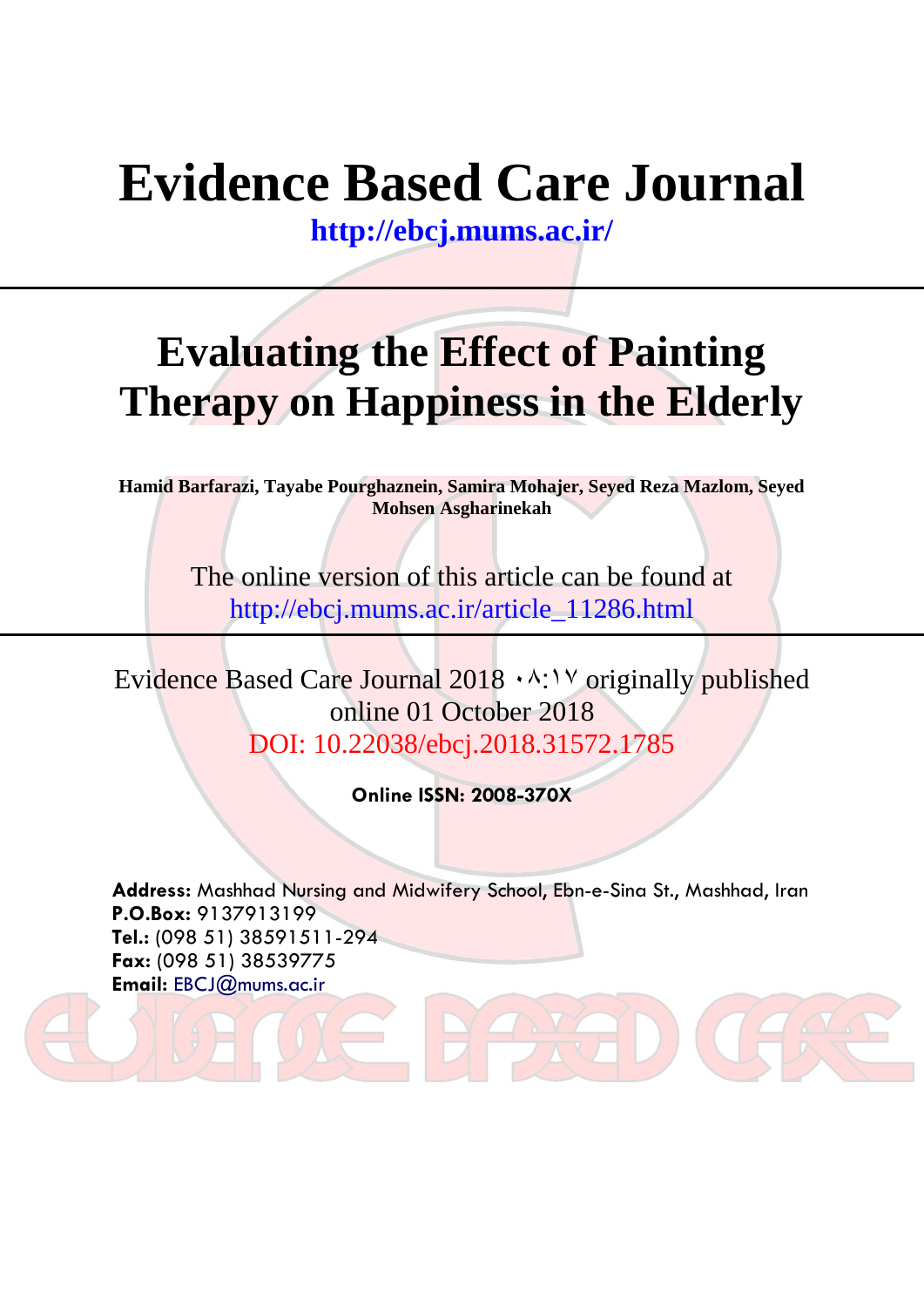# **Evidence Based Care Journal**

**<http://ebcj.mums.ac.ir/>**

## **Evaluating the Effect of Painting Therapy on Happiness in the Elderly**

**Hamid Barfarazi, Tayabe Pourghaznein, Samira Mohajer, Seyed Reza Mazlom, Seyed Mohsen Asgharinekah**

> The online version of this article can be found at http://ebcj.mums.ac.ir/article\_11286.html

Evidence Based Care Journal  $2018 \cdot \frac{\text{A}}{\text{A}} \cdot \frac{\text{B}}{\text{B}}$  published online 01 October 2018 DOI: 10.22038/ebcj.2018.31572.1785

**Online ISSN: 2008-370X**

**Address:** Mashhad Nursing and Midwifery School, Ebn-e-Sina St., Mashhad, Iran **P.O.Box:** 9137913199 **Tel.:** (098 51) 38591511-294 **Fax:** (098 51) 38539775 **Email:** [EBCJ@mums.ac.ir](mailto:EBCJ@mums.ac.ir)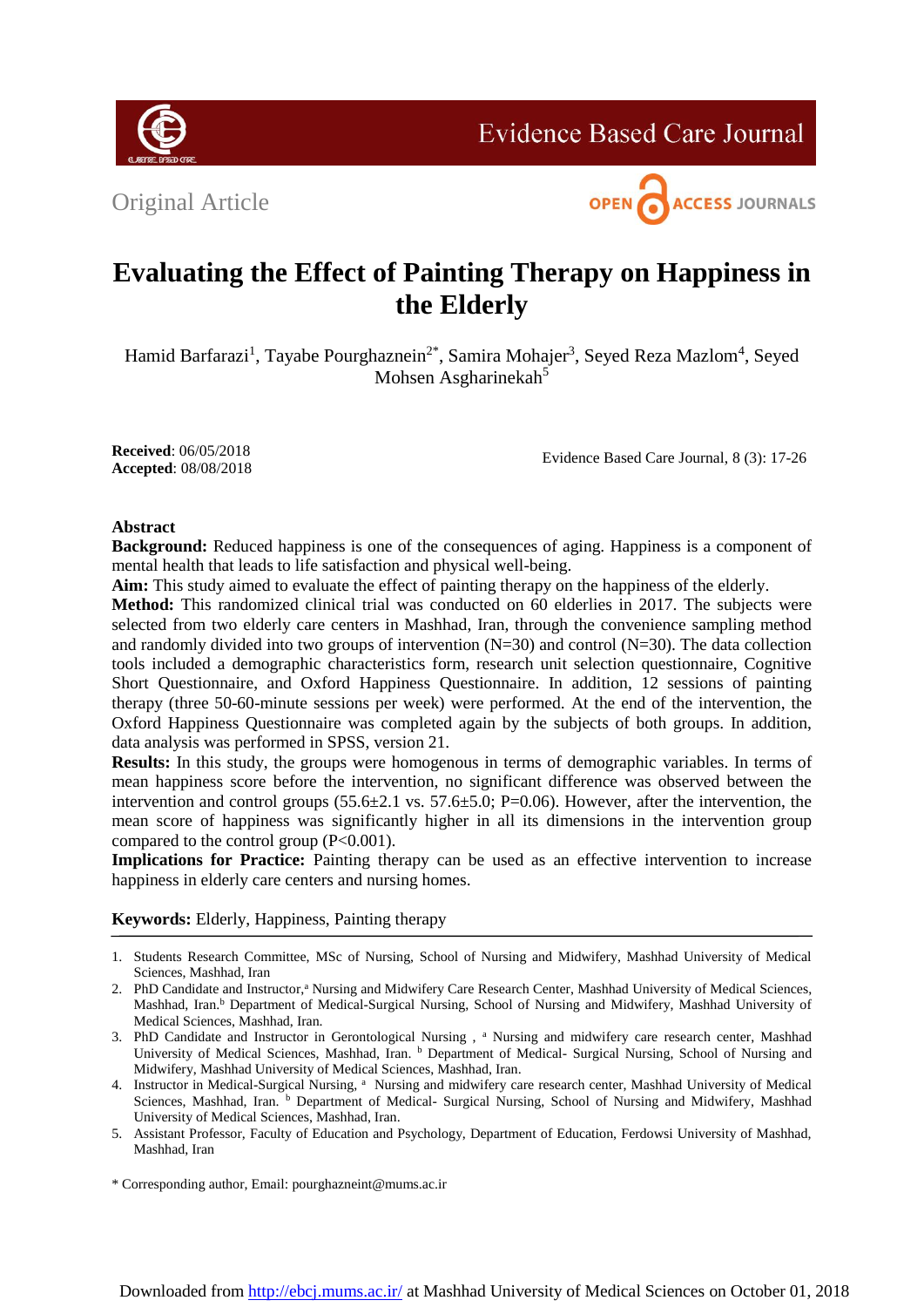

**Evidence Based Care Journal** 





### **Evaluating the Effect of Painting Therapy on Happiness in the Elderly**

Hamid Barfarazi<sup>1</sup>, Tayabe Pourghaznein<sup>2\*</sup>, Samira Mohajer<sup>3</sup>, Seyed Reza Mazlom<sup>4</sup>, Seyed Mohsen Asgharinekah<sup>5</sup>

**Received**: 06/05/2018 **Accepted**: 08/08/2018

Evidence Based Care Journal, 8 (3): 17-26

#### **Abstract**

**Background:** Reduced happiness is one of the consequences of aging. Happiness is a component of mental health that leads to life satisfaction and physical well-being.

**Aim:** This study aimed to evaluate the effect of painting therapy on the happiness of the elderly.

**Method:** This randomized clinical trial was conducted on 60 elderlies in 2017. The subjects were selected from two elderly care centers in Mashhad, Iran, through the convenience sampling method and randomly divided into two groups of intervention  $(N=30)$  and control  $(N=30)$ . The data collection tools included a demographic characteristics form, research unit selection questionnaire, Cognitive Short Questionnaire, and Oxford Happiness Questionnaire. In addition, 12 sessions of painting therapy (three 50-60-minute sessions per week) were performed. At the end of the intervention, the Oxford Happiness Questionnaire was completed again by the subjects of both groups. In addition, data analysis was performed in SPSS, version 21.

**Results:** In this study, the groups were homogenous in terms of demographic variables. In terms of mean happiness score before the intervention, no significant difference was observed between the intervention and control groups (55.6±2.1 vs. 57.6±5.0; P=0.06). However, after the intervention, the mean score of happiness was significantly higher in all its dimensions in the intervention group compared to the control group (P<0.001).

**Implications for Practice:** Painting therapy can be used as an effective intervention to increase happiness in elderly care centers and nursing homes.

#### **Keywords:** Elderly, Happiness, Painting therapy

- 1. Students Research Committee, MSc of Nursing, School of Nursing and Midwifery, Mashhad University of Medical Sciences, Mashhad, Iran
- 2. PhD Candidate and Instructor,<sup>a</sup> Nursing and Midwifery Care Research Center, Mashhad University of Medical Sciences, Mashhad, Iran.<sup>b</sup> Department of Medical-Surgical Nursing, School of Nursing and Midwifery, Mashhad University of Medical Sciences, Mashhad, Iran.
- 3. PhD Candidate and Instructor in Gerontological Nursing , <sup>a</sup> Nursing and midwifery care research center, Mashhad University of Medical Sciences, Mashhad, Iran. b Department of Medical- Surgical Nursing, School of Nursing and Midwifery, Mashhad University of Medical Sciences, Mashhad, Iran.
- 4. Instructor in Medical-Surgical Nursing, <sup>a</sup> Nursing and midwifery care research center, Mashhad University of Medical Sciences, Mashhad, Iran. b Department of Medical- Surgical Nursing, School of Nursing and Midwifery, Mashhad University of Medical Sciences, Mashhad, Iran.
- 5. Assistant Professor, Faculty of Education and Psychology, Department of Education, Ferdowsi University of Mashhad, Mashhad, Iran
- \* Corresponding author, Email: pourghazneint@mums.ac.ir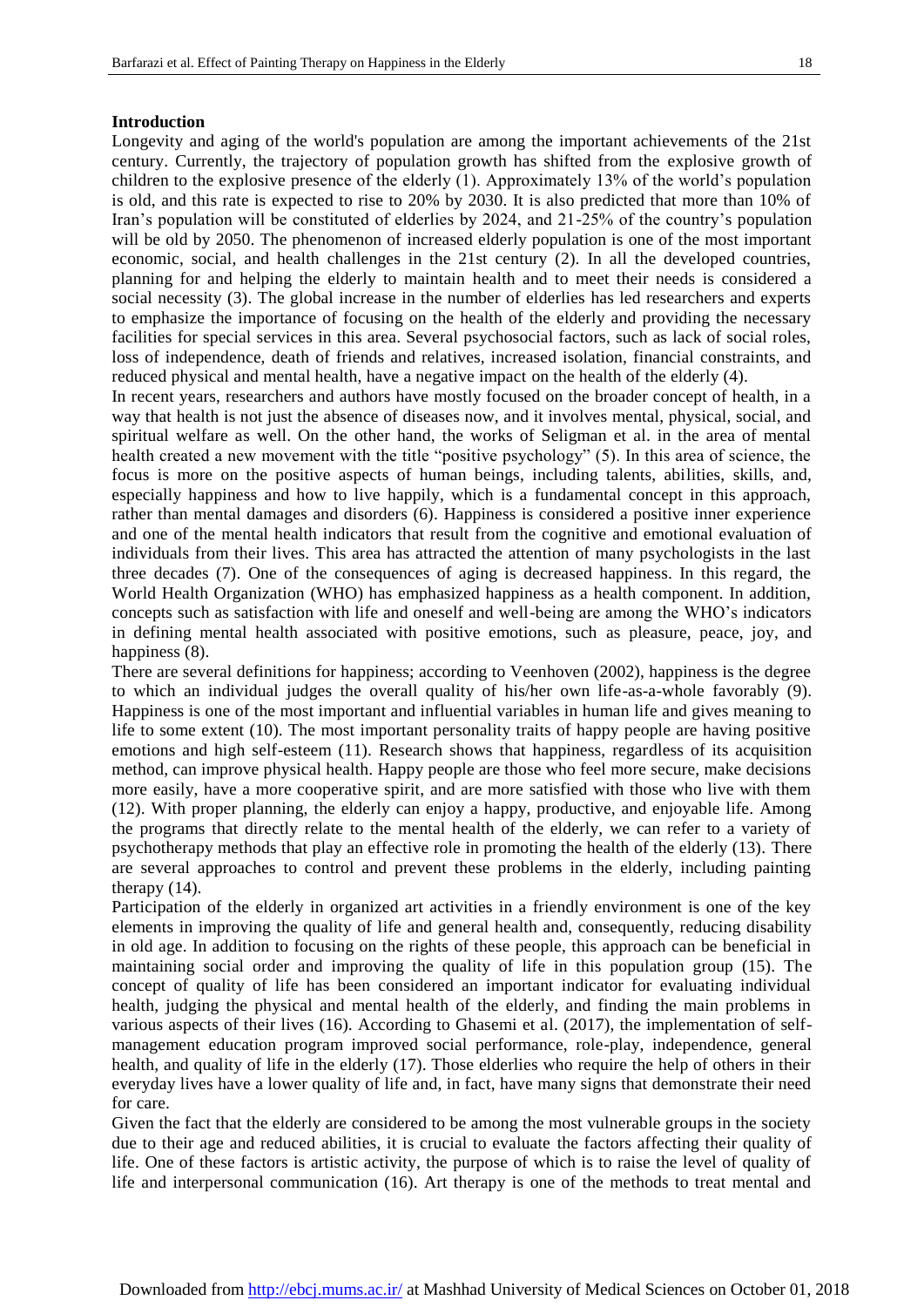#### **Introduction**

Longevity and aging of the world's population are among the important achievements of the 21st century. Currently, the trajectory of population growth has shifted from the explosive growth of children to the explosive presence of the elderly (1). Approximately 13% of the world's population is old, and this rate is expected to rise to 20% by 2030. It is also predicted that more than 10% of Iran's population will be constituted of elderlies by 2024, and 21-25% of the country's population will be old by 2050. The phenomenon of increased elderly population is one of the most important economic, social, and health challenges in the 21st century (2). In all the developed countries, planning for and helping the elderly to maintain health and to meet their needs is considered a social necessity (3). The global increase in the number of elderlies has led researchers and experts to emphasize the importance of focusing on the health of the elderly and providing the necessary facilities for special services in this area. Several psychosocial factors, such as lack of social roles, loss of independence, death of friends and relatives, increased isolation, financial constraints, and reduced physical and mental health, have a negative impact on the health of the elderly (4).

In recent years, researchers and authors have mostly focused on the broader concept of health, in a way that health is not just the absence of diseases now, and it involves mental, physical, social, and spiritual welfare as well. On the other hand, the works of Seligman et al. in the area of mental health created a new movement with the title "positive psychology" (5). In this area of science, the focus is more on the positive aspects of human beings, including talents, abilities, skills, and, especially happiness and how to live happily, which is a fundamental concept in this approach, rather than mental damages and disorders (6). Happiness is considered a positive inner experience and one of the mental health indicators that result from the cognitive and emotional evaluation of individuals from their lives. This area has attracted the attention of many psychologists in the last three decades (7). One of the consequences of aging is decreased happiness. In this regard, the World Health Organization (WHO) has emphasized happiness as a health component. In addition, concepts such as satisfaction with life and oneself and well-being are among the WHO's indicators in defining mental health associated with positive emotions, such as pleasure, peace, joy, and happiness  $(8)$ .

There are several definitions for happiness; according to Veenhoven (2002), happiness is the degree to which an individual judges the overall quality of his/her own life-as-a-whole favorably (9). Happiness is one of the most important and influential variables in human life and gives meaning to life to some extent (10). The most important personality traits of happy people are having positive emotions and high self-esteem (11). Research shows that happiness, regardless of its acquisition method, can improve physical health. Happy people are those who feel more secure, make decisions more easily, have a more cooperative spirit, and are more satisfied with those who live with them (12). With proper planning, the elderly can enjoy a happy, productive, and enjoyable life. Among the programs that directly relate to the mental health of the elderly, we can refer to a variety of psychotherapy methods that play an effective role in promoting the health of the elderly (13). There are several approaches to control and prevent these problems in the elderly, including painting therapy (14).

Participation of the elderly in organized art activities in a friendly environment is one of the key elements in improving the quality of life and general health and, consequently, reducing disability in old age. In addition to focusing on the rights of these people, this approach can be beneficial in maintaining social order and improving the quality of life in this population group (15). The concept of quality of life has been considered an important indicator for evaluating individual health, judging the physical and mental health of the elderly, and finding the main problems in various aspects of their lives (16). According to Ghasemi et al. (2017), the implementation of selfmanagement education program improved social performance, role-play, independence, general health, and quality of life in the elderly (17). Those elderlies who require the help of others in their everyday lives have a lower quality of life and, in fact, have many signs that demonstrate their need for care.

Given the fact that the elderly are considered to be among the most vulnerable groups in the society due to their age and reduced abilities, it is crucial to evaluate the factors affecting their quality of life. One of these factors is artistic activity, the purpose of which is to raise the level of quality of life and interpersonal communication (16). Art therapy is one of the methods to treat mental and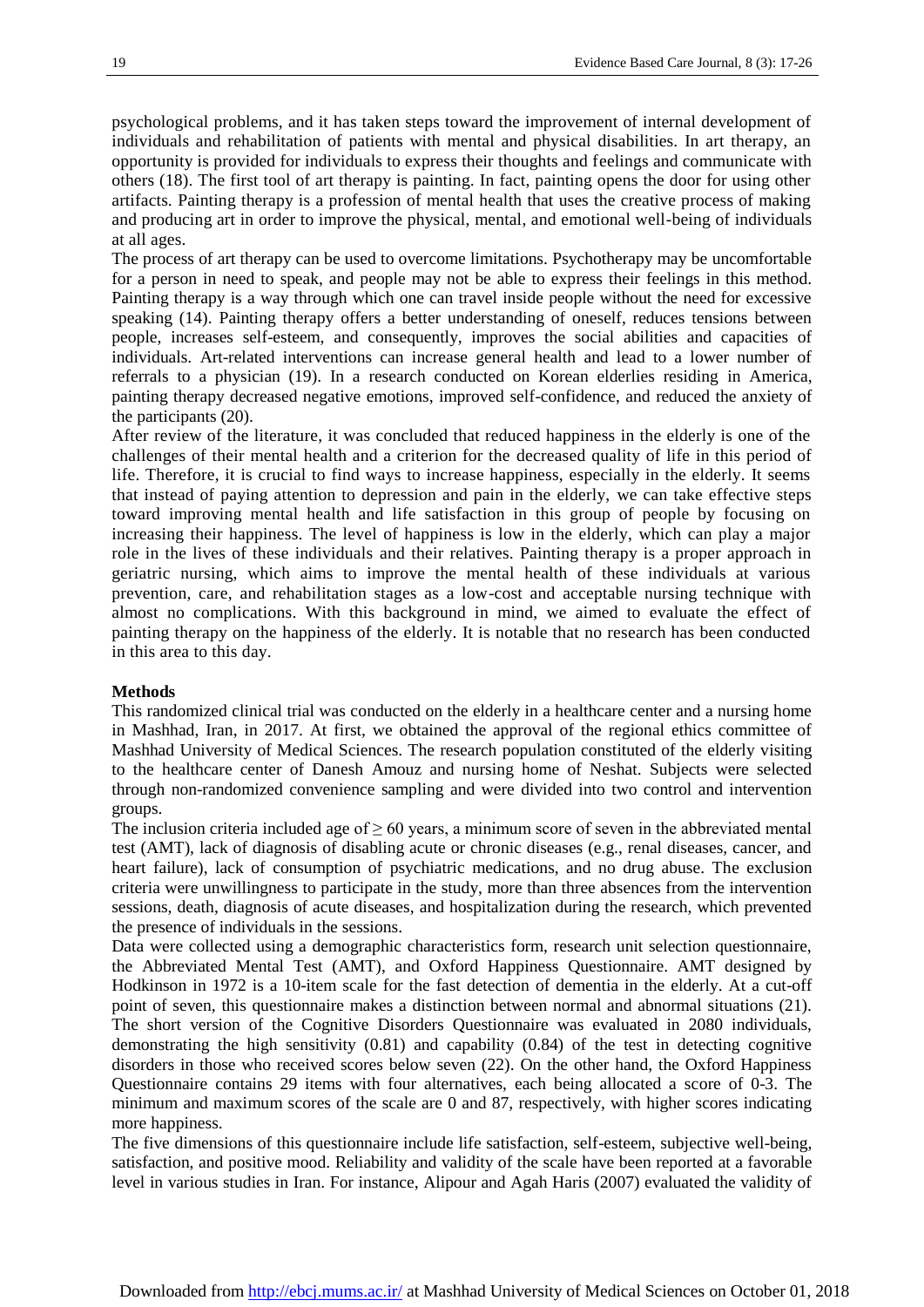psychological problems, and it has taken steps toward the improvement of internal development of individuals and rehabilitation of patients with mental and physical disabilities. In art therapy, an opportunity is provided for individuals to express their thoughts and feelings and communicate with others (18). The first tool of art therapy is painting. In fact, painting opens the door for using other artifacts. Painting therapy is a profession of mental health that uses the creative process of making and producing art in order to improve the physical, mental, and emotional well-being of individuals at all ages.

The process of art therapy can be used to overcome limitations. Psychotherapy may be uncomfortable for a person in need to speak, and people may not be able to express their feelings in this method. Painting therapy is a way through which one can travel inside people without the need for excessive speaking (14). Painting therapy offers a better understanding of oneself, reduces tensions between people, increases self-esteem, and consequently, improves the social abilities and capacities of individuals. Art-related interventions can increase general health and lead to a lower number of referrals to a physician (19). In a research conducted on Korean elderlies residing in America, painting therapy decreased negative emotions, improved self-confidence, and reduced the anxiety of the participants (20).

After review of the literature, it was concluded that reduced happiness in the elderly is one of the challenges of their mental health and a criterion for the decreased quality of life in this period of life. Therefore, it is crucial to find ways to increase happiness, especially in the elderly. It seems that instead of paying attention to depression and pain in the elderly, we can take effective steps toward improving mental health and life satisfaction in this group of people by focusing on increasing their happiness. The level of happiness is low in the elderly, which can play a major role in the lives of these individuals and their relatives. Painting therapy is a proper approach in geriatric nursing, which aims to improve the mental health of these individuals at various prevention, care, and rehabilitation stages as a low-cost and acceptable nursing technique with almost no complications. With this background in mind, we aimed to evaluate the effect of painting therapy on the happiness of the elderly. It is notable that no research has been conducted in this area to this day.

#### **Methods**

This randomized clinical trial was conducted on the elderly in a healthcare center and a nursing home in Mashhad, Iran, in 2017. At first, we obtained the approval of the regional ethics committee of Mashhad University of Medical Sciences. The research population constituted of the elderly visiting to the healthcare center of Danesh Amouz and nursing home of Neshat. Subjects were selected through non-randomized convenience sampling and were divided into two control and intervention groups.

The inclusion criteria included age of  $\geq 60$  years, a minimum score of seven in the abbreviated mental test (AMT), lack of diagnosis of disabling acute or chronic diseases (e.g., renal diseases, cancer, and heart failure), lack of consumption of psychiatric medications, and no drug abuse. The exclusion criteria were unwillingness to participate in the study, more than three absences from the intervention sessions, death, diagnosis of acute diseases, and hospitalization during the research, which prevented the presence of individuals in the sessions.

Data were collected using a demographic characteristics form, research unit selection questionnaire, the Abbreviated Mental Test (AMT), and Oxford Happiness Questionnaire. AMT designed by Hodkinson in 1972 is a 10-item scale for the fast detection of dementia in the elderly. At a cut-off point of seven, this questionnaire makes a distinction between normal and abnormal situations (21). The short version of the Cognitive Disorders Questionnaire was evaluated in 2080 individuals, demonstrating the high sensitivity (0.81) and capability (0.84) of the test in detecting cognitive disorders in those who received scores below seven (22). On the other hand, the Oxford Happiness Questionnaire contains 29 items with four alternatives, each being allocated a score of 0-3. The minimum and maximum scores of the scale are 0 and 87, respectively, with higher scores indicating more happiness.

The five dimensions of this questionnaire include life satisfaction, self-esteem, subjective well-being, satisfaction, and positive mood. Reliability and validity of the scale have been reported at a favorable level in various studies in Iran. For instance, Alipour and Agah Haris (2007) evaluated the validity of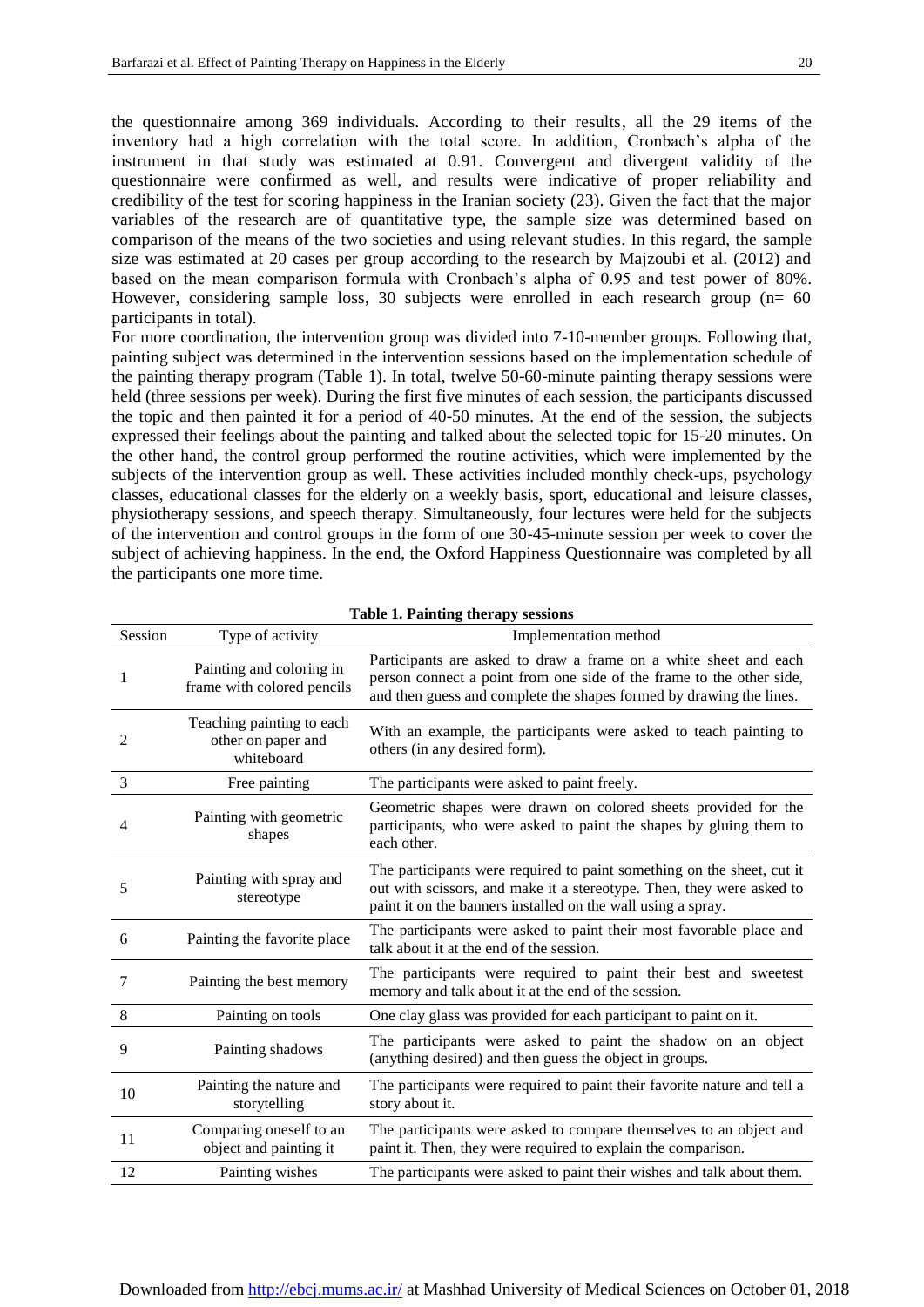the questionnaire among 369 individuals. According to their results, all the 29 items of the inventory had a high correlation with the total score. In addition, Cronbach's alpha of the instrument in that study was estimated at 0.91. Convergent and divergent validity of the questionnaire were confirmed as well, and results were indicative of proper reliability and credibility of the test for scoring happiness in the Iranian society (23). Given the fact that the major variables of the research are of quantitative type, the sample size was determined based on comparison of the means of the two societies and using relevant studies. In this regard, the sample size was estimated at 20 cases per group according to the research by Majzoubi et al. (2012) and based on the mean comparison formula with Cronbach's alpha of 0.95 and test power of 80%. However, considering sample loss, 30 subjects were enrolled in each research group (n= 60 participants in total).

For more coordination, the intervention group was divided into 7-10-member groups. Following that, painting subject was determined in the intervention sessions based on the implementation schedule of the painting therapy program (Table 1). In total, twelve 50-60-minute painting therapy sessions were held (three sessions per week). During the first five minutes of each session, the participants discussed the topic and then painted it for a period of 40-50 minutes. At the end of the session, the subjects expressed their feelings about the painting and talked about the selected topic for 15-20 minutes. On the other hand, the control group performed the routine activities, which were implemented by the subjects of the intervention group as well. These activities included monthly check-ups, psychology classes, educational classes for the elderly on a weekly basis, sport, educational and leisure classes, physiotherapy sessions, and speech therapy. Simultaneously, four lectures were held for the subjects of the intervention and control groups in the form of one 30-45-minute session per week to cover the subject of achieving happiness. In the end, the Oxford Happiness Questionnaire was completed by all the participants one more time.

| Session | Type of activity                                              | Implementation method                                                                                                                                                                                           |
|---------|---------------------------------------------------------------|-----------------------------------------------------------------------------------------------------------------------------------------------------------------------------------------------------------------|
| 1       | Painting and coloring in<br>frame with colored pencils        | Participants are asked to draw a frame on a white sheet and each<br>person connect a point from one side of the frame to the other side,<br>and then guess and complete the shapes formed by drawing the lines. |
| 2       | Teaching painting to each<br>other on paper and<br>whiteboard | With an example, the participants were asked to teach painting to<br>others (in any desired form).                                                                                                              |
| 3       | Free painting                                                 | The participants were asked to paint freely.                                                                                                                                                                    |
| 4       | Painting with geometric<br>shapes                             | Geometric shapes were drawn on colored sheets provided for the<br>participants, who were asked to paint the shapes by gluing them to<br>each other.                                                             |
| 5       | Painting with spray and<br>stereotype                         | The participants were required to paint something on the sheet, cut it<br>out with scissors, and make it a stereotype. Then, they were asked to<br>paint it on the banners installed on the wall using a spray. |
| 6       | Painting the favorite place                                   | The participants were asked to paint their most favorable place and<br>talk about it at the end of the session.                                                                                                 |
| 7       | Painting the best memory                                      | The participants were required to paint their best and sweetest<br>memory and talk about it at the end of the session.                                                                                          |
| $\,8\,$ | Painting on tools                                             | One clay glass was provided for each participant to paint on it.                                                                                                                                                |
| 9       | Painting shadows                                              | The participants were asked to paint the shadow on an object<br>(anything desired) and then guess the object in groups.                                                                                         |
| 10      | Painting the nature and<br>storytelling                       | The participants were required to paint their favorite nature and tell a<br>story about it.                                                                                                                     |
| 11      | Comparing oneself to an<br>object and painting it             | The participants were asked to compare themselves to an object and<br>paint it. Then, they were required to explain the comparison.                                                                             |
| 12      | Painting wishes                                               | The participants were asked to paint their wishes and talk about them.                                                                                                                                          |

**Table 1. Painting therapy sessions**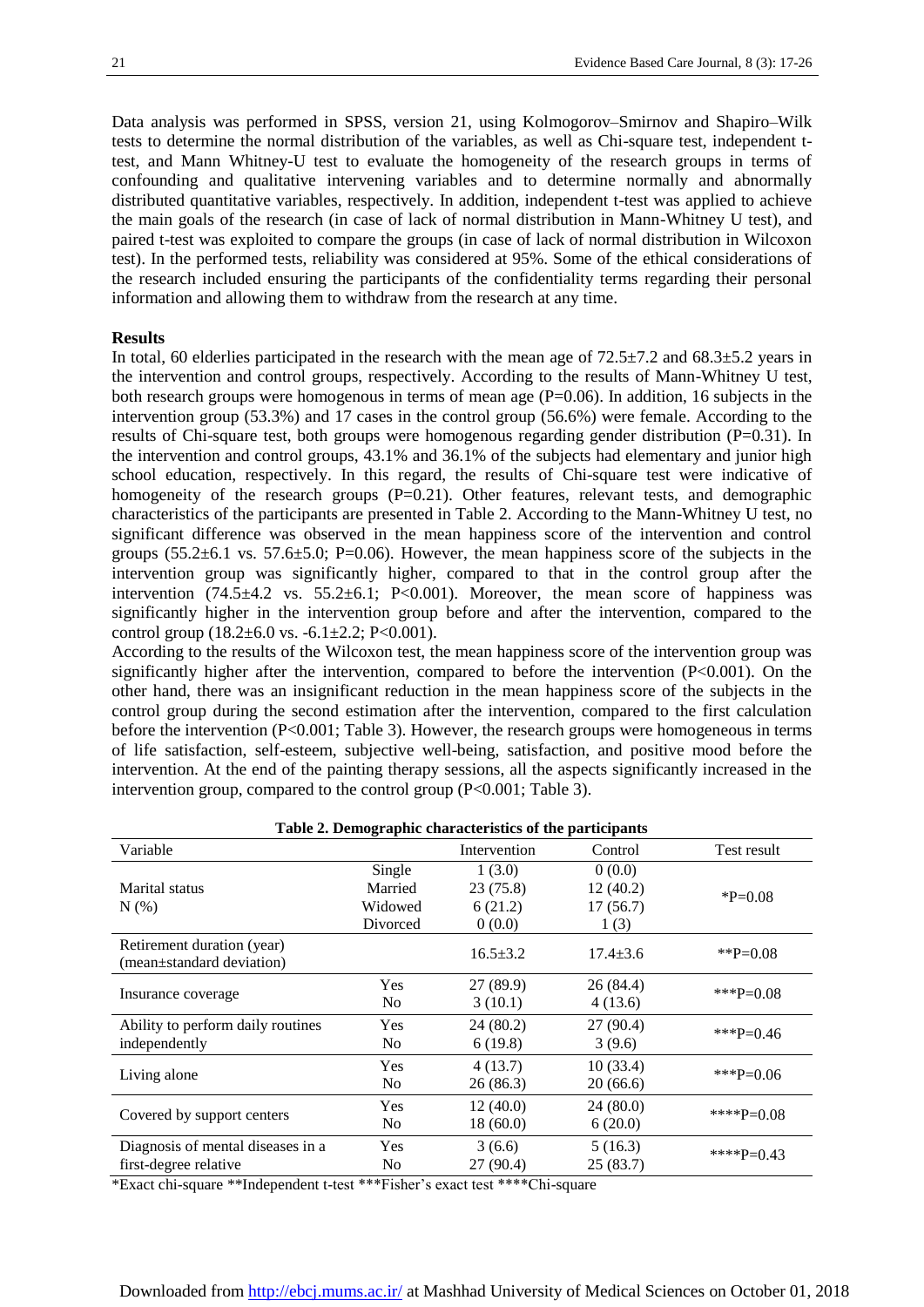Data analysis was performed in SPSS, version 21, using Kolmogorov–Smirnov and Shapiro–Wilk tests to determine the normal distribution of the variables, as well as Chi-square test, independent ttest, and Mann Whitney-U test to evaluate the homogeneity of the research groups in terms of confounding and qualitative intervening variables and to determine normally and abnormally distributed quantitative variables, respectively. In addition, independent t-test was applied to achieve the main goals of the research (in case of lack of normal distribution in Mann-Whitney U test), and paired t-test was exploited to compare the groups (in case of lack of normal distribution in Wilcoxon test). In the performed tests, reliability was considered at 95%. Some of the ethical considerations of the research included ensuring the participants of the confidentiality terms regarding their personal information and allowing them to withdraw from the research at any time.

#### **Results**

In total, 60 elderlies participated in the research with the mean age of  $72.5\pm7.2$  and  $68.3\pm5.2$  years in the intervention and control groups, respectively. According to the results of Mann-Whitney U test, both research groups were homogenous in terms of mean age  $(P=0.06)$ . In addition, 16 subjects in the intervention group (53.3%) and 17 cases in the control group (56.6%) were female. According to the results of Chi-square test, both groups were homogenous regarding gender distribution (P=0.31). In the intervention and control groups, 43.1% and 36.1% of the subjects had elementary and junior high school education, respectively. In this regard, the results of Chi-square test were indicative of homogeneity of the research groups (P=0.21). Other features, relevant tests, and demographic characteristics of the participants are presented in Table 2. According to the Mann-Whitney U test, no significant difference was observed in the mean happiness score of the intervention and control groups  $(55.2\pm6.1 \text{ vs. } 57.6\pm5.0; \text{ P} = 0.06)$ . However, the mean happiness score of the subjects in the intervention group was significantly higher, compared to that in the control group after the intervention  $(74.5\pm4.2 \text{ vs. } 55.2\pm6.1; \text{ P}<0.001)$ . Moreover, the mean score of happiness was significantly higher in the intervention group before and after the intervention, compared to the control group  $(18.2 \pm 6.0 \text{ vs. } -6.1 \pm 2.2; P < 0.001)$ .

According to the results of the Wilcoxon test, the mean happiness score of the intervention group was significantly higher after the intervention, compared to before the intervention  $(P<0.001)$ . On the other hand, there was an insignificant reduction in the mean happiness score of the subjects in the control group during the second estimation after the intervention, compared to the first calculation before the intervention (P<0.001; Table 3). However, the research groups were homogeneous in terms of life satisfaction, self-esteem, subjective well-being, satisfaction, and positive mood before the intervention. At the end of the painting therapy sessions, all the aspects significantly increased in the intervention group, compared to the control group (P<0.001; Table 3).

| Table 2. Demographic characteristics of the participants |                |                |                |              |  |  |  |
|----------------------------------------------------------|----------------|----------------|----------------|--------------|--|--|--|
| Variable                                                 |                | Intervention   | Control        | Test result  |  |  |  |
|                                                          | Single         | 1(3.0)         | 0(0.0)         |              |  |  |  |
| Marital status                                           | Married        | 23(75.8)       | 12(40.2)       | $P=0.08$     |  |  |  |
| N(% )                                                    | Widowed        | 6(21.2)        | 17(56.7)       |              |  |  |  |
|                                                          | Divorced       | 0(0.0)         | 1(3)           |              |  |  |  |
| Retirement duration (year)<br>(mean±standard deviation)  |                | $16.5 \pm 3.2$ | $17.4 \pm 3.6$ | ** $P=0.08$  |  |  |  |
|                                                          | <b>Yes</b>     | 27 (89.9)      | 26 (84.4)      | ***P=0.08    |  |  |  |
| Insurance coverage                                       | N <sub>0</sub> | 3(10.1)        | 4(13.6)        |              |  |  |  |
| Ability to perform daily routines                        | <b>Yes</b>     | 24 (80.2)      | 27 (90.4)      | ***P=0.46    |  |  |  |
| independently                                            | N <sub>0</sub> | 6(19.8)        | 3(9.6)         |              |  |  |  |
|                                                          | Yes            | 4(13.7)        | 10(33.4)       | *** $P=0.06$ |  |  |  |
| Living alone                                             | N <sub>0</sub> | 26 (86.3)      | 20(66.6)       |              |  |  |  |
|                                                          | <b>Yes</b>     | 12(40.0)       | 24 (80.0)      | ****P=0.08   |  |  |  |
| Covered by support centers                               | N <sub>0</sub> | 18(60.0)       | 6(20.0)        |              |  |  |  |
| Diagnosis of mental diseases in a                        | <b>Yes</b>     | 3(6.6)         | 5(16.3)        | ****P=0.43   |  |  |  |
| first-degree relative                                    | N <sub>0</sub> | 27 (90.4)      | 25(83.7)       |              |  |  |  |

\*Exact chi-square \*\*Independent t-test \*\*\*Fisher's exact test \*\*\*\*Chi-square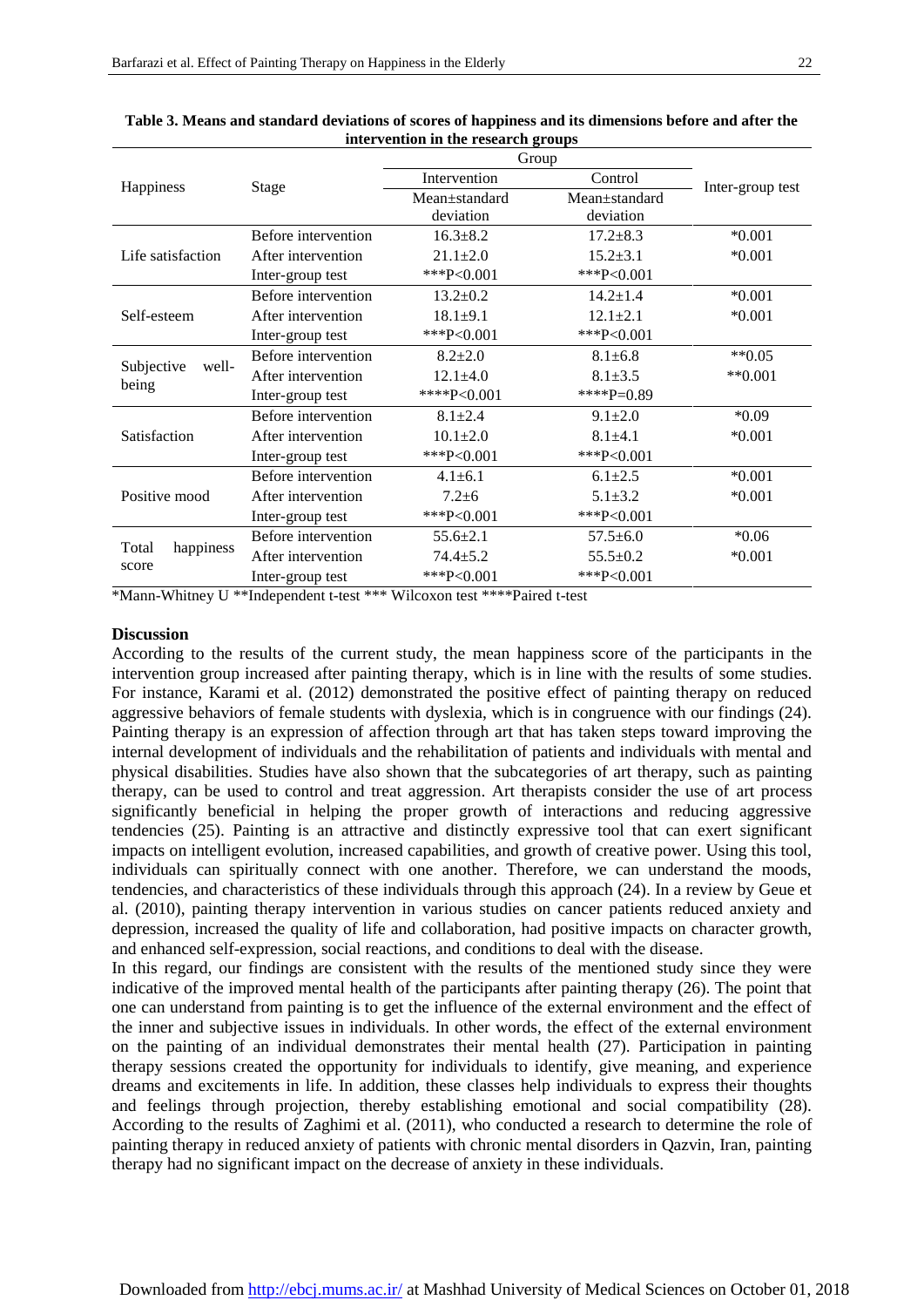|                     |                     | Group          |                |                  |  |
|---------------------|---------------------|----------------|----------------|------------------|--|
| Happiness           | Stage               | Intervention   | Control        | Inter-group test |  |
|                     |                     | Mean±standard  | Mean±standard  |                  |  |
|                     |                     | deviation      | deviation      |                  |  |
|                     | Before intervention | $16.3 \pm 8.2$ | $17.2 \pm 8.3$ | $*0.001$         |  |
| Life satisfaction   | After intervention  | $21.1 \pm 2.0$ | $15.2 \pm 3.1$ | $*0.001$         |  |
|                     | Inter-group test    | *** $P<0.001$  | *** $P<0.001$  |                  |  |
|                     | Before intervention | $13.2 \pm 0.2$ | $14.2 \pm 1.4$ | $*0.001$         |  |
| Self-esteem         | After intervention  | $18.1 \pm 9.1$ | $12.1 \pm 2.1$ | $*0.001$         |  |
|                     | Inter-group test    | *** $P<0.001$  | *** $P<0.001$  |                  |  |
|                     | Before intervention | $8.2 \pm 2.0$  | $8.1 \pm 6.8$  | $**0.05$         |  |
| Subjective<br>well- | After intervention  | $12.1 \pm 4.0$ | $8.1 + 3.5$    | $*$ *0.001       |  |
| being               | Inter-group test    | ****P<0.001    | ****P=0.89     |                  |  |
|                     | Before intervention | $8.1 \pm 2.4$  | $9.1 \pm 2.0$  | $*0.09$          |  |
| Satisfaction        | After intervention  | $10.1 \pm 2.0$ | $8.1 + 4.1$    | $*0.001$         |  |
|                     | Inter-group test    | *** $P<0.001$  | *** $P<0.001$  |                  |  |
|                     | Before intervention | $4.1 \pm 6.1$  | $6.1 \pm 2.5$  | $*0.001$         |  |
| Positive mood       | After intervention  | $7.2 \pm 6$    | $5.1 \pm 3.2$  | $*0.001$         |  |
|                     | Inter-group test    | *** $P<0.001$  | *** $P<0.001$  |                  |  |
|                     | Before intervention | $55.6 \pm 2.1$ | $57.5 \pm 6.0$ | $*0.06$          |  |
| Total<br>happiness  | After intervention  | $74.4 + 5.2$   | $55.5 \pm 0.2$ | $*0.001$         |  |
| score               | Inter-group test    | *** $P<0.001$  | *** $P<0.001$  |                  |  |

| Table 3. Means and standard deviations of scores of happiness and its dimensions before and after the |
|-------------------------------------------------------------------------------------------------------|
| intervention in the research groups                                                                   |

\*Mann-Whitney U \*\*Independent t-test \*\*\* Wilcoxon test \*\*\*\*Paired t-test

#### **Discussion**

According to the results of the current study, the mean happiness score of the participants in the intervention group increased after painting therapy, which is in line with the results of some studies. For instance, Karami et al. (2012) demonstrated the positive effect of painting therapy on reduced aggressive behaviors of female students with dyslexia, which is in congruence with our findings (24). Painting therapy is an expression of affection through art that has taken steps toward improving the internal development of individuals and the rehabilitation of patients and individuals with mental and physical disabilities. Studies have also shown that the subcategories of art therapy, such as painting therapy, can be used to control and treat aggression. Art therapists consider the use of art process significantly beneficial in helping the proper growth of interactions and reducing aggressive tendencies (25). Painting is an attractive and distinctly expressive tool that can exert significant impacts on intelligent evolution, increased capabilities, and growth of creative power. Using this tool, individuals can spiritually connect with one another. Therefore, we can understand the moods, tendencies, and characteristics of these individuals through this approach (24). In a review by Geue et al. (2010), painting therapy intervention in various studies on cancer patients reduced anxiety and depression, increased the quality of life and collaboration, had positive impacts on character growth, and enhanced self-expression, social reactions, and conditions to deal with the disease.

In this regard, our findings are consistent with the results of the mentioned study since they were indicative of the improved mental health of the participants after painting therapy (26). The point that one can understand from painting is to get the influence of the external environment and the effect of the inner and subjective issues in individuals. In other words, the effect of the external environment on the painting of an individual demonstrates their mental health (27). Participation in painting therapy sessions created the opportunity for individuals to identify, give meaning, and experience dreams and excitements in life. In addition, these classes help individuals to express their thoughts and feelings through projection, thereby establishing emotional and social compatibility (28). According to the results of Zaghimi et al. (2011), who conducted a research to determine the role of painting therapy in reduced anxiety of patients with chronic mental disorders in Qazvin, Iran, painting therapy had no significant impact on the decrease of anxiety in these individuals.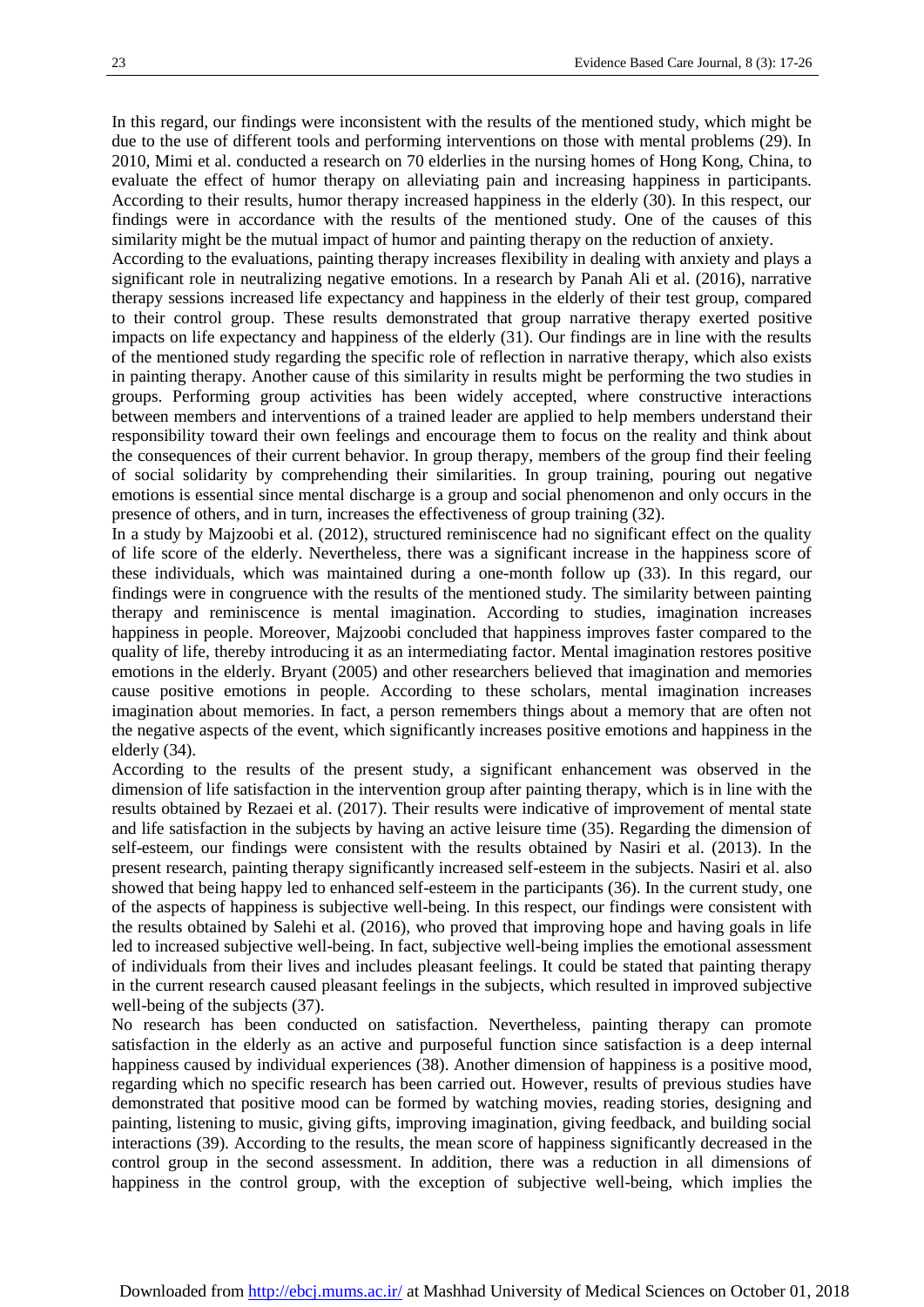In this regard, our findings were inconsistent with the results of the mentioned study, which might be due to the use of different tools and performing interventions on those with mental problems (29). In 2010, Mimi et al. conducted a research on 70 elderlies in the nursing homes of Hong Kong, China, to evaluate the effect of humor therapy on alleviating pain and increasing happiness in participants. According to their results, humor therapy increased happiness in the elderly (30). In this respect, our findings were in accordance with the results of the mentioned study. One of the causes of this similarity might be the mutual impact of humor and painting therapy on the reduction of anxiety.

According to the evaluations, painting therapy increases flexibility in dealing with anxiety and plays a significant role in neutralizing negative emotions. In a research by Panah Ali et al. (2016), narrative therapy sessions increased life expectancy and happiness in the elderly of their test group, compared to their control group. These results demonstrated that group narrative therapy exerted positive impacts on life expectancy and happiness of the elderly (31). Our findings are in line with the results of the mentioned study regarding the specific role of reflection in narrative therapy, which also exists in painting therapy. Another cause of this similarity in results might be performing the two studies in groups. Performing group activities has been widely accepted, where constructive interactions between members and interventions of a trained leader are applied to help members understand their responsibility toward their own feelings and encourage them to focus on the reality and think about the consequences of their current behavior. In group therapy, members of the group find their feeling of social solidarity by comprehending their similarities. In group training, pouring out negative emotions is essential since mental discharge is a group and social phenomenon and only occurs in the presence of others, and in turn, increases the effectiveness of group training (32).

In a study by Majzoobi et al. (2012), structured reminiscence had no significant effect on the quality of life score of the elderly. Nevertheless, there was a significant increase in the happiness score of these individuals, which was maintained during a one-month follow up (33). In this regard, our findings were in congruence with the results of the mentioned study. The similarity between painting therapy and reminiscence is mental imagination. According to studies, imagination increases happiness in people. Moreover, Majzoobi concluded that happiness improves faster compared to the quality of life, thereby introducing it as an intermediating factor. Mental imagination restores positive emotions in the elderly. Bryant (2005) and other researchers believed that imagination and memories cause positive emotions in people. According to these scholars, mental imagination increases imagination about memories. In fact, a person remembers things about a memory that are often not the negative aspects of the event, which significantly increases positive emotions and happiness in the elderly (34).

According to the results of the present study, a significant enhancement was observed in the dimension of life satisfaction in the intervention group after painting therapy, which is in line with the results obtained by Rezaei et al. (2017). Their results were indicative of improvement of mental state and life satisfaction in the subjects by having an active leisure time (35). Regarding the dimension of self-esteem, our findings were consistent with the results obtained by Nasiri et al. (2013). In the present research, painting therapy significantly increased self-esteem in the subjects. Nasiri et al. also showed that being happy led to enhanced self-esteem in the participants (36). In the current study, one of the aspects of happiness is subjective well-being. In this respect, our findings were consistent with the results obtained by Salehi et al. (2016), who proved that improving hope and having goals in life led to increased subjective well-being. In fact, subjective well-being implies the emotional assessment of individuals from their lives and includes pleasant feelings. It could be stated that painting therapy in the current research caused pleasant feelings in the subjects, which resulted in improved subjective well-being of the subjects (37).

No research has been conducted on satisfaction. Nevertheless, painting therapy can promote satisfaction in the elderly as an active and purposeful function since satisfaction is a deep internal happiness caused by individual experiences (38). Another dimension of happiness is a positive mood, regarding which no specific research has been carried out. However, results of previous studies have demonstrated that positive mood can be formed by watching movies, reading stories, designing and painting, listening to music, giving gifts, improving imagination, giving feedback, and building social interactions (39). According to the results, the mean score of happiness significantly decreased in the control group in the second assessment. In addition, there was a reduction in all dimensions of happiness in the control group, with the exception of subjective well-being, which implies the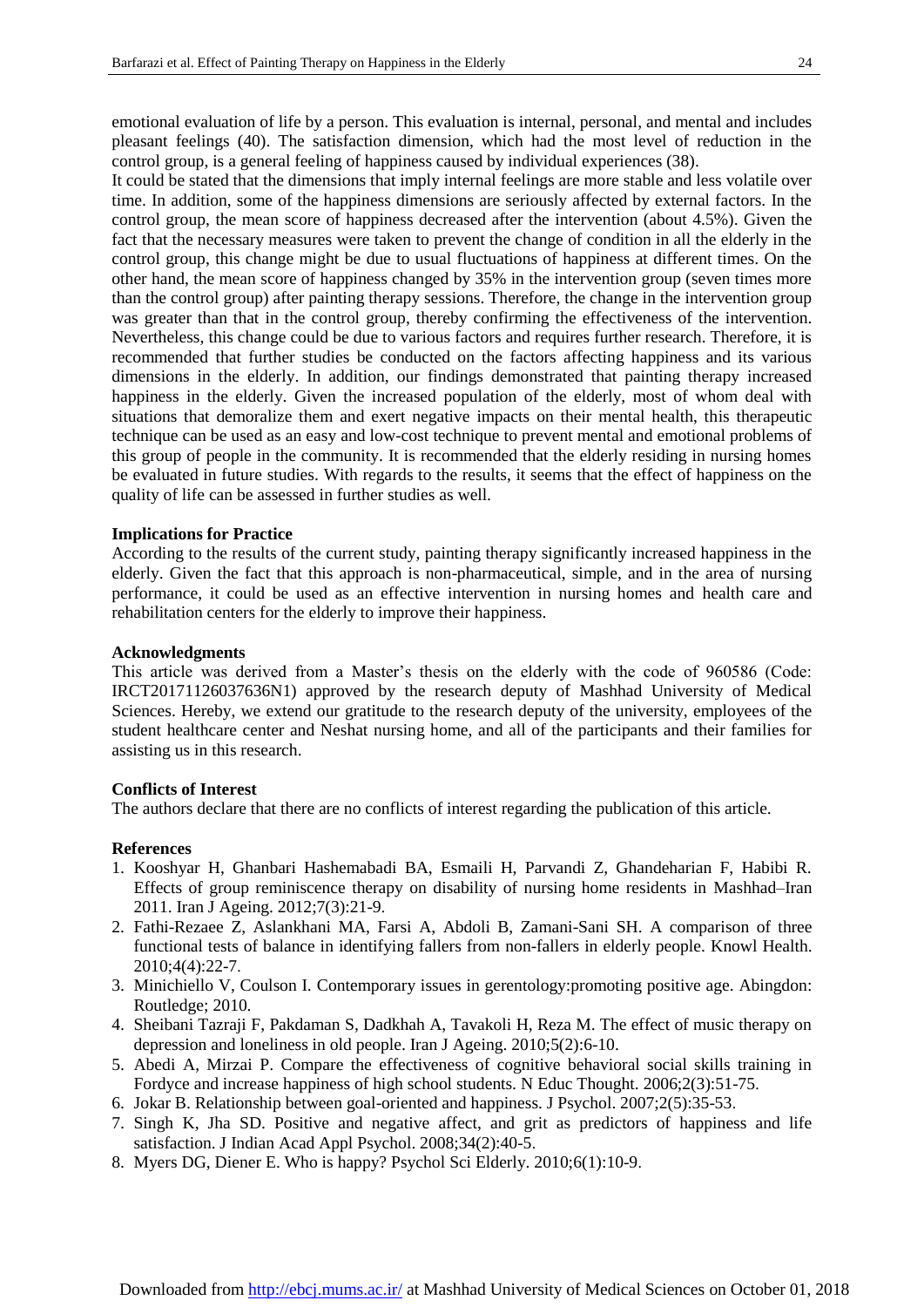emotional evaluation of life by a person. This evaluation is internal, personal, and mental and includes pleasant feelings (40). The satisfaction dimension, which had the most level of reduction in the control group, is a general feeling of happiness caused by individual experiences (38).

It could be stated that the dimensions that imply internal feelings are more stable and less volatile over time. In addition, some of the happiness dimensions are seriously affected by external factors. In the control group, the mean score of happiness decreased after the intervention (about 4.5%). Given the fact that the necessary measures were taken to prevent the change of condition in all the elderly in the control group, this change might be due to usual fluctuations of happiness at different times. On the other hand, the mean score of happiness changed by 35% in the intervention group (seven times more than the control group) after painting therapy sessions. Therefore, the change in the intervention group was greater than that in the control group, thereby confirming the effectiveness of the intervention. Nevertheless, this change could be due to various factors and requires further research. Therefore, it is recommended that further studies be conducted on the factors affecting happiness and its various dimensions in the elderly. In addition, our findings demonstrated that painting therapy increased happiness in the elderly. Given the increased population of the elderly, most of whom deal with situations that demoralize them and exert negative impacts on their mental health, this therapeutic technique can be used as an easy and low-cost technique to prevent mental and emotional problems of this group of people in the community. It is recommended that the elderly residing in nursing homes be evaluated in future studies. With regards to the results, it seems that the effect of happiness on the quality of life can be assessed in further studies as well.

#### **Implications for Practice**

According to the results of the current study, painting therapy significantly increased happiness in the elderly. Given the fact that this approach is non-pharmaceutical, simple, and in the area of nursing performance, it could be used as an effective intervention in nursing homes and health care and rehabilitation centers for the elderly to improve their happiness.

#### **Acknowledgments**

This article was derived from a Master's thesis on the elderly with the code of 960586 (Code: IRCT20171126037636N1) approved by the research deputy of Mashhad University of Medical Sciences. Hereby, we extend our gratitude to the research deputy of the university, employees of the student healthcare center and Neshat nursing home, and all of the participants and their families for assisting us in this research.

#### **Conflicts of Interest**

The authors declare that there are no conflicts of interest regarding the publication of this article.

#### **References**

- 1. Kooshyar H, Ghanbari Hashemabadi BA, Esmaili H, Parvandi Z, Ghandeharian F, Habibi R. Effects of group reminiscence therapy on disability of nursing home residents in Mashhad–Iran 2011. Iran J Ageing. 2012;7(3):21-9.
- 2. Fathi-Rezaee Z, Aslankhani MA, Farsi A, Abdoli B, Zamani-Sani SH. A comparison of three functional tests of balance in identifying fallers from non-fallers in elderly people. Knowl Health. 2010;4(4):22-7.
- 3. Minichiello V, Coulson I. Contemporary issues in gerentology:promoting positive age. Abingdon: Routledge; 2010.
- 4. Sheibani Tazraji F, Pakdaman S, Dadkhah A, Tavakoli H, Reza M. The effect of music therapy on depression and loneliness in old people. Iran J Ageing. 2010;5(2):6-10.
- 5. Abedi A, Mirzai P. Compare the effectiveness of cognitive behavioral social skills training in Fordyce and increase happiness of high school students. N Educ Thought. 2006;2(3):51-75.
- 6. Jokar B. Relationship between goal-oriented and happiness. J Psychol. 2007;2(5):35-53.
- 7. Singh K, Jha SD. Positive and negative affect, and grit as predictors of happiness and life satisfaction. J Indian Acad Appl Psychol. 2008;34(2):40-5.
- 8. Myers DG, Diener E. Who is happy? Psychol Sci Elderly. 2010;6(1):10-9.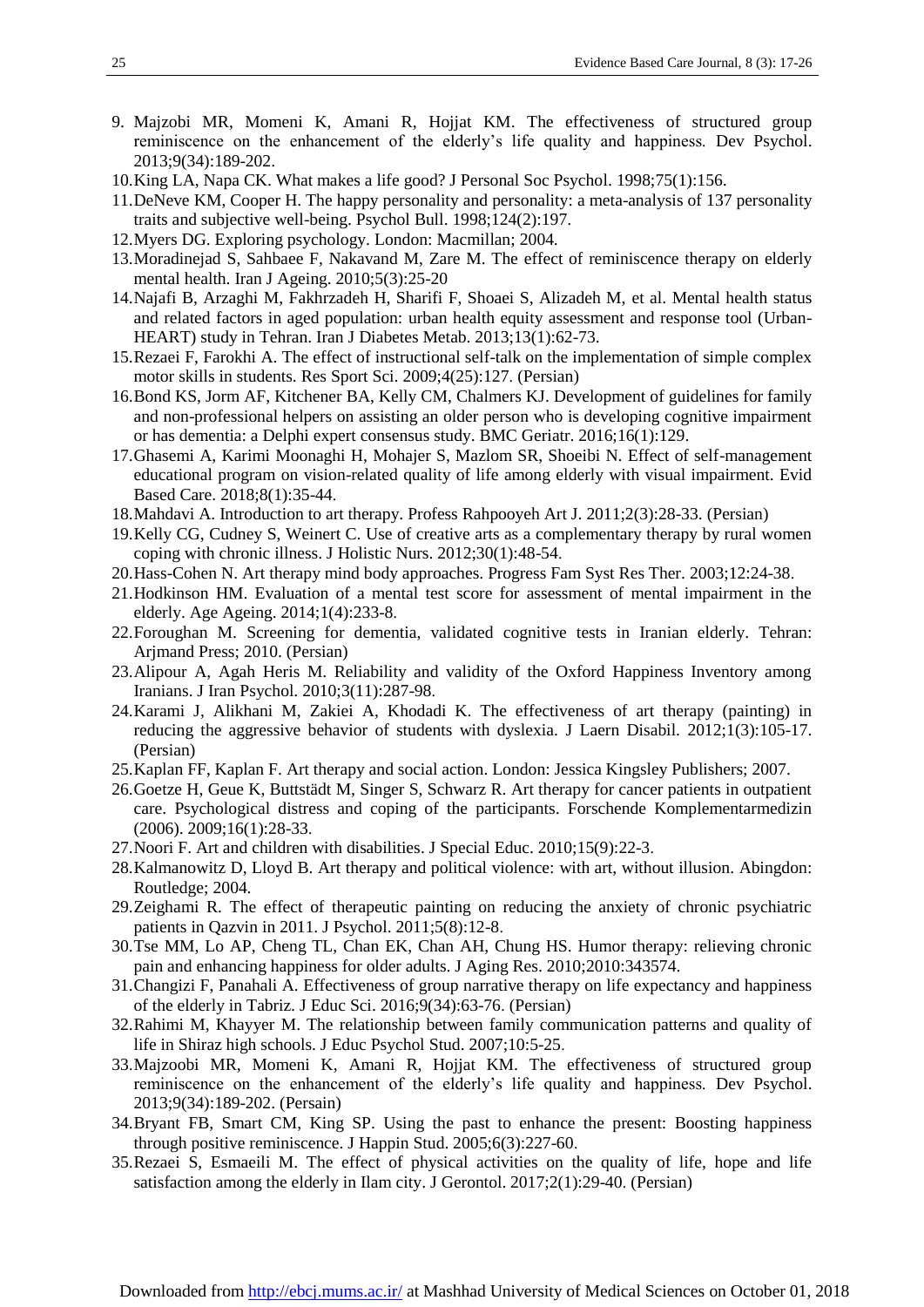- 9. Majzobi MR, Momeni K, Amani R, Hojjat KM. The effectiveness of structured group reminiscence on the enhancement of the elderly's life quality and happiness. Dev Psychol. 2013;9(34):189-202.
- 10.King LA, Napa CK. What makes a life good? J Personal Soc Psychol. 1998;75(1):156.
- 11.DeNeve KM, Cooper H. The happy personality and personality: a meta-analysis of 137 personality traits and subjective well-being. Psychol Bull. 1998;124(2):197.
- 12.Myers DG. Exploring psychology. London: Macmillan; 2004.
- 13.Moradinejad S, Sahbaee F, Nakavand M, Zare M. The effect of reminiscence therapy on elderly mental health. Iran J Ageing. 2010;5(3):25-20
- 14.Najafi B, Arzaghi M, Fakhrzadeh H, Sharifi F, Shoaei S, Alizadeh M, et al. Mental health status and related factors in aged population: urban health equity assessment and response tool (Urban-HEART) study in Tehran. Iran J Diabetes Metab. 2013;13(1):62-73.
- 15.Rezaei F, Farokhi A. The effect of instructional self-talk on the implementation of simple complex motor skills in students. Res Sport Sci. 2009;4(25):127. (Persian)
- 16.Bond KS, Jorm AF, Kitchener BA, Kelly CM, Chalmers KJ. Development of guidelines for family and non-professional helpers on assisting an older person who is developing cognitive impairment or has dementia: a Delphi expert consensus study. BMC Geriatr. 2016;16(1):129.
- 17.Ghasemi A, Karimi Moonaghi H, Mohajer S, Mazlom SR, Shoeibi N. Effect of self-management educational program on vision-related quality of life among elderly with visual impairment. Evid Based Care. 2018;8(1):35-44.
- 18.Mahdavi A. Introduction to art therapy. Profess Rahpooyeh Art J. 2011;2(3):28-33. (Persian)
- 19.Kelly CG, Cudney S, Weinert C. Use of creative arts as a complementary therapy by rural women coping with chronic illness. J Holistic Nurs. 2012;30(1):48-54.
- 20.Hass-Cohen N. Art therapy mind body approaches. Progress Fam Syst Res Ther. 2003;12:24-38.
- 21.Hodkinson HM. Evaluation of a mental test score for assessment of mental impairment in the elderly. Age Ageing. 2014;1(4):233-8.
- 22.Foroughan M. Screening for dementia, validated cognitive tests in Iranian elderly. Tehran: Arjmand Press; 2010. (Persian)
- 23.Alipour A, Agah Heris M. Reliability and validity of the Oxford Happiness Inventory among Iranians. J Iran Psychol. 2010;3(11):287-98.
- 24.Karami J, Alikhani M, Zakiei A, Khodadi K. The effectiveness of art therapy (painting) in reducing the aggressive behavior of students with dyslexia. J Laern Disabil. 2012;1(3):105-17. (Persian)
- 25.Kaplan FF, Kaplan F. Art therapy and social action. London: Jessica Kingsley Publishers; 2007.
- 26.Goetze H, Geue K, Buttstädt M, Singer S, Schwarz R. Art therapy for cancer patients in outpatient care. Psychological distress and coping of the participants. Forschende Komplementarmedizin (2006). 2009;16(1):28-33.
- 27.Noori F. Art and children with disabilities. J Special Educ. 2010;15(9):22-3.
- 28.Kalmanowitz D, Lloyd B. Art therapy and political violence: with art, without illusion. Abingdon: Routledge; 2004.
- 29.Zeighami R. The effect of therapeutic painting on reducing the anxiety of chronic psychiatric patients in Qazvin in 2011. J Psychol. 2011;5(8):12-8.
- 30.Tse MM, Lo AP, Cheng TL, Chan EK, Chan AH, Chung HS. Humor therapy: relieving chronic pain and enhancing happiness for older adults. J Aging Res. 2010;2010:343574.
- 31.Changizi F, Panahali A. Effectiveness of group narrative therapy on life expectancy and happiness of the elderly in Tabriz. J Educ Sci. 2016;9(34):63-76. (Persian)
- 32.Rahimi M, Khayyer M. The relationship between family communication patterns and quality of life in Shiraz high schools. J Educ Psychol Stud. 2007;10:5-25.
- 33.Majzoobi MR, Momeni K, Amani R, Hojjat KM. The effectiveness of structured group reminiscence on the enhancement of the elderly's life quality and happiness. Dev Psychol. 2013;9(34):189-202. (Persain)
- 34.Bryant FB, Smart CM, King SP. Using the past to enhance the present: Boosting happiness through positive reminiscence. J Happin Stud. 2005;6(3):227-60.
- 35.Rezaei S, Esmaeili M. The effect of physical activities on the quality of life, hope and life satisfaction among the elderly in Ilam city. J Gerontol. 2017;2(1):29-40. (Persian)